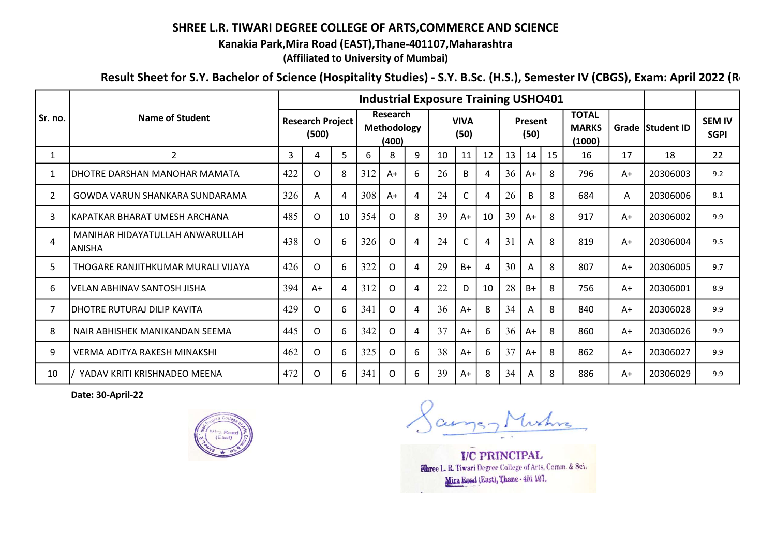## SHREE L.R. TIWARI DEGREE COLLEGE OF ARTS,COMMERCE AND SCIENCE

Kanakia Park,Mira Road (EAST),Thane-401107,Maharashtra

(Affiliated to University of Mumbai)

Result Sheet for S.Y. Bachelor of Science (Hospitality Studies) - S.Y. B.Sc. (H.S.), Semester IV (CBGS), Exam: April 2022 (Re

|                | Name of Student                            | <b>Industrial Exposure Training USHO401</b> |          |    |                                  |          |   |                     |      |    |                 |      |    |                                        |      |                  |                              |
|----------------|--------------------------------------------|---------------------------------------------|----------|----|----------------------------------|----------|---|---------------------|------|----|-----------------|------|----|----------------------------------------|------|------------------|------------------------------|
| Sr. no.        |                                            | <b>Research Project</b><br>(500)            |          |    | Research<br>Methodology<br>(400) |          |   | <b>VIVA</b><br>(50) |      |    | Present<br>(50) |      |    | <b>TOTAL</b><br><b>MARKS</b><br>(1000) |      | Grade Student ID | <b>SEM IV</b><br><b>SGPI</b> |
| $\mathbf{1}$   | $\overline{2}$                             | 3                                           | 4        | 5  | 6                                | 8        | 9 | 10                  | 11   | 12 | 13              | 14   | 15 | 16                                     | 17   | 18               | 22                           |
| 1              | IDHOTRE DARSHAN MANOHAR MAMATA             | 422                                         | 0        | 8  | 312                              | $A+$     | 6 | 26                  | B    | 4  | 36              | $A+$ | 8  | 796                                    | $A+$ | 20306003         | 9.2                          |
| $\overline{2}$ | GOWDA VARUN SHANKARA SUNDARAMA             | 326                                         | A        | 4  | 308                              | $A+$     | 4 | 24                  |      | 4  | 26              | B    | 8  | 684                                    | A    | 20306006         | 8.1                          |
| 3              | lKAPATKAR BHARAT UMESH ARCHANA             | 485                                         | 0        | 10 | 354                              | 0        | 8 | 39                  | $A+$ | 10 | 39              | $A+$ | 8  | 917                                    | A+   | 20306002         | 9.9                          |
| 4              | MANIHAR HIDAYATULLAH ANWARULLAH<br>IANISHA | 438                                         | O        | 6  | 326                              | O        | 4 | 24                  |      | 4  | 31              | A    | 8  | 819                                    | $A+$ | 20306004         | 9.5                          |
| 5              | THOGARE RANJITHKUMAR MURALI VIJAYA         | 426                                         | O        | 6  | 322                              | 0        | 4 | 29                  | $B+$ | 4  | 30              | A    | 8  | 807                                    | $A+$ | 20306005         | 9.7                          |
| 6              | VELAN ABHINAV SANTOSH JISHA                | 394                                         | A+       | 4  | 312                              | O        | 4 | 22                  | D    | 10 | 28              | $B+$ | 8  | 756                                    | $A+$ | 20306001         | 8.9                          |
| 7              | IDHOTRE RUTURAJ DILIP KAVITA               | 429                                         | $\Omega$ | 6  | 341                              | $\Omega$ | 4 | 36                  | $A+$ | 8  | 34              | Α    | 8  | 840                                    | A+   | 20306028         | 9.9                          |
| 8              | NAIR ABHISHEK MANIKANDAN SEEMA             | 445                                         | 0        | 6  | 342                              | 0        | 4 | 37                  | $A+$ | 6  | 36              | $A+$ | 8  | 860                                    | $A+$ | 20306026         | 9.9                          |
| 9              | VERMA ADITYA RAKESH MINAKSHI               | 462                                         | $\Omega$ | 6  | 325                              | O        | 6 | 38                  | $A+$ | 6  | 37              | $A+$ | 8  | 862                                    | $A+$ | 20306027         | 9.9                          |
| 10             | YADAV KRITI KRISHNADEO MEENA               | 472                                         | O        | 6  | 341                              | O        | 6 | 39                  | $A+$ | 8  | 34              | A    | 8  | 886                                    | $A+$ | 20306029         | 9.9                          |

Date: 30-April-22



**I/C PRINCIPAL** Shree L. R. Tiwari Degree College of Arts, Comm. & Sci. Mira Road (East), Thane - 401 107.